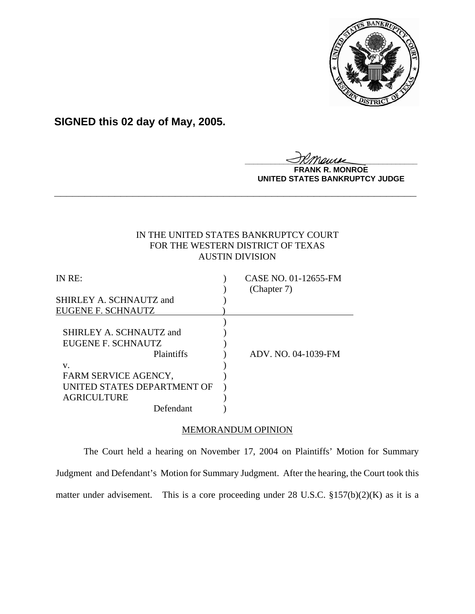

**SIGNED this 02 day of May, 2005.**

<u>IKThemse</u>

**MONROE UNITED STATES BANKRUPTCY JUDGE**

# IN THE UNITED STATES BANKRUPTCY COURT FOR THE WESTERN DISTRICT OF TEXAS AUSTIN DIVISION

**\_\_\_\_\_\_\_\_\_\_\_\_\_\_\_\_\_\_\_\_\_\_\_\_\_\_\_\_\_\_\_\_\_\_\_\_\_\_\_\_\_\_\_\_\_\_\_\_\_\_\_\_\_\_\_\_\_\_\_\_**

| IN RE:                      | CASE NO. 01-12655-FM |
|-----------------------------|----------------------|
|                             | (Chapter 7)          |
| SHIRLEY A. SCHNAUTZ and     |                      |
| EUGENE F. SCHNAUTZ          |                      |
|                             |                      |
| SHIRLEY A. SCHNAUTZ and     |                      |
| EUGENE F. SCHNAUTZ          |                      |
| Plaintiffs                  | ADV. NO. 04-1039-FM  |
| v.                          |                      |
| FARM SERVICE AGENCY,        |                      |
| UNITED STATES DEPARTMENT OF |                      |
| <b>AGRICULTURE</b>          |                      |
| Defendant                   |                      |

## MEMORANDUM OPINION

The Court held a hearing on November 17, 2004 on Plaintiffs' Motion for Summary Judgment and Defendant's Motion for Summary Judgment. After the hearing, the Court took this matter under advisement. This is a core proceeding under 28 U.S.C. §157(b)(2)(K) as it is a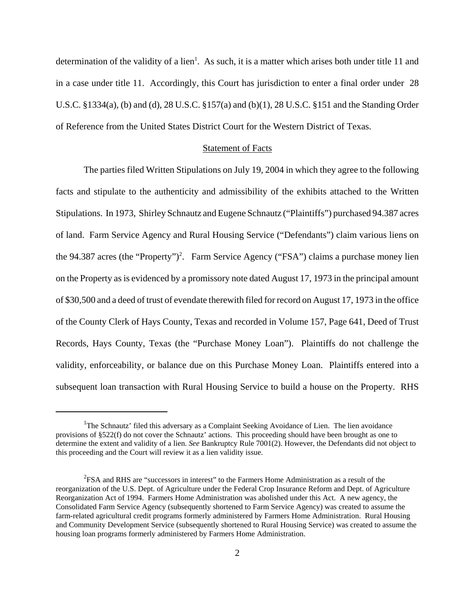determination of the validity of a lien<sup>1</sup>. As such, it is a matter which arises both under title 11 and in a case under title 11. Accordingly, this Court has jurisdiction to enter a final order under 28 U.S.C. §1334(a), (b) and (d), 28 U.S.C. §157(a) and (b)(1), 28 U.S.C. §151 and the Standing Order of Reference from the United States District Court for the Western District of Texas.

#### Statement of Facts

The parties filed Written Stipulations on July 19, 2004 in which they agree to the following facts and stipulate to the authenticity and admissibility of the exhibits attached to the Written Stipulations. In 1973, Shirley Schnautz and Eugene Schnautz ("Plaintiffs") purchased 94.387 acres of land. Farm Service Agency and Rural Housing Service ("Defendants") claim various liens on the 94.387 acres (the "Property")<sup>2</sup>. Farm Service Agency ("FSA") claims a purchase money lien on the Property as is evidenced by a promissory note dated August 17, 1973 in the principal amount of \$30,500 and a deed of trust of evendate therewith filed for record on August 17, 1973 in the office of the County Clerk of Hays County, Texas and recorded in Volume 157, Page 641, Deed of Trust Records, Hays County, Texas (the "Purchase Money Loan"). Plaintiffs do not challenge the validity, enforceability, or balance due on this Purchase Money Loan. Plaintiffs entered into a subsequent loan transaction with Rural Housing Service to build a house on the Property. RHS

<sup>&</sup>lt;sup>1</sup>The Schnautz' filed this adversary as a Complaint Seeking Avoidance of Lien. The lien avoidance provisions of §522(f) do not cover the Schnautz' actions. This proceeding should have been brought as one to determine the extent and validity of a lien. *See* Bankruptcy Rule 7001(2). However, the Defendants did not object to this proceeding and the Court will review it as a lien validity issue.

<sup>&</sup>lt;sup>2</sup>FSA and RHS are "successors in interest" to the Farmers Home Administration as a result of the reorganization of the U.S. Dept. of Agriculture under the Federal Crop Insurance Reform and Dept. of Agriculture Reorganization Act of 1994. Farmers Home Administration was abolished under this Act. A new agency, the Consolidated Farm Service Agency (subsequently shortened to Farm Service Agency) was created to assume the farm-related agricultural credit programs formerly administered by Farmers Home Administration. Rural Housing and Community Development Service (subsequently shortened to Rural Housing Service) was created to assume the housing loan programs formerly administered by Farmers Home Administration.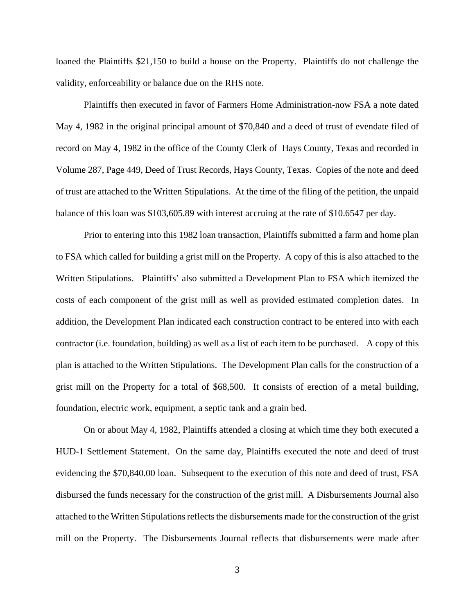loaned the Plaintiffs \$21,150 to build a house on the Property. Plaintiffs do not challenge the validity, enforceability or balance due on the RHS note.

Plaintiffs then executed in favor of Farmers Home Administration-now FSA a note dated May 4, 1982 in the original principal amount of \$70,840 and a deed of trust of evendate filed of record on May 4, 1982 in the office of the County Clerk of Hays County, Texas and recorded in Volume 287, Page 449, Deed of Trust Records, Hays County, Texas. Copies of the note and deed of trust are attached to the Written Stipulations. At the time of the filing of the petition, the unpaid balance of this loan was \$103,605.89 with interest accruing at the rate of \$10.6547 per day.

Prior to entering into this 1982 loan transaction, Plaintiffs submitted a farm and home plan to FSA which called for building a grist mill on the Property. A copy of this is also attached to the Written Stipulations. Plaintiffs' also submitted a Development Plan to FSA which itemized the costs of each component of the grist mill as well as provided estimated completion dates. In addition, the Development Plan indicated each construction contract to be entered into with each contractor (i.e. foundation, building) as well as a list of each item to be purchased. A copy of this plan is attached to the Written Stipulations. The Development Plan calls for the construction of a grist mill on the Property for a total of \$68,500. It consists of erection of a metal building, foundation, electric work, equipment, a septic tank and a grain bed.

On or about May 4, 1982, Plaintiffs attended a closing at which time they both executed a HUD-1 Settlement Statement. On the same day, Plaintiffs executed the note and deed of trust evidencing the \$70,840.00 loan. Subsequent to the execution of this note and deed of trust, FSA disbursed the funds necessary for the construction of the grist mill. A Disbursements Journal also attached to the Written Stipulations reflects the disbursements made for the construction of the grist mill on the Property. The Disbursements Journal reflects that disbursements were made after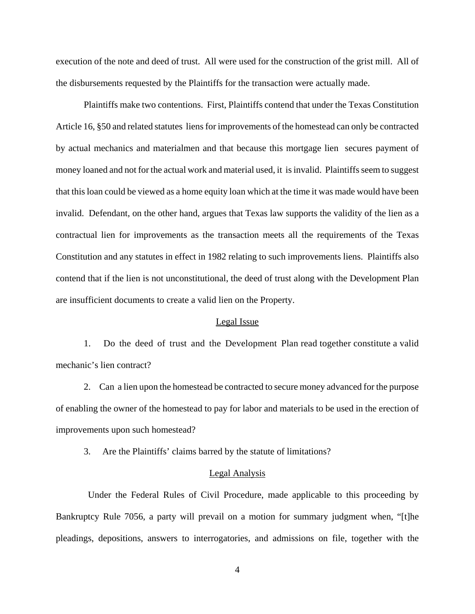execution of the note and deed of trust. All were used for the construction of the grist mill. All of the disbursements requested by the Plaintiffs for the transaction were actually made.

Plaintiffs make two contentions. First, Plaintiffs contend that under the Texas Constitution Article 16, §50 and related statutes liens for improvements of the homestead can only be contracted by actual mechanics and materialmen and that because this mortgage lien secures payment of money loaned and not for the actual work and material used, it is invalid. Plaintiffs seem to suggest that this loan could be viewed as a home equity loan which at the time it was made would have been invalid. Defendant, on the other hand, argues that Texas law supports the validity of the lien as a contractual lien for improvements as the transaction meets all the requirements of the Texas Constitution and any statutes in effect in 1982 relating to such improvements liens. Plaintiffs also contend that if the lien is not unconstitutional, the deed of trust along with the Development Plan are insufficient documents to create a valid lien on the Property.

#### Legal Issue

 1. Do the deed of trust and the Development Plan read together constitute a valid mechanic's lien contract?

2. Can a lien upon the homestead be contracted to secure money advanced for the purpose of enabling the owner of the homestead to pay for labor and materials to be used in the erection of improvements upon such homestead?

3. Are the Plaintiffs' claims barred by the statute of limitations?

## Legal Analysis

 Under the Federal Rules of Civil Procedure, made applicable to this proceeding by Bankruptcy Rule 7056, a party will prevail on a motion for summary judgment when, "[t]he pleadings, depositions, answers to interrogatories, and admissions on file, together with the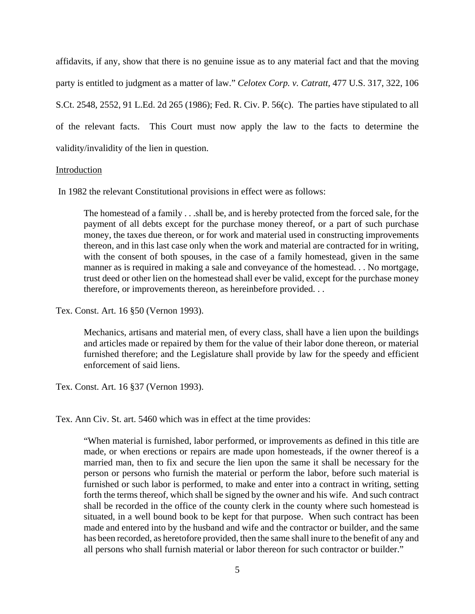affidavits, if any, show that there is no genuine issue as to any material fact and that the moving party is entitled to judgment as a matter of law." *Celotex Corp. v. Catratt,* 477 U.S. 317, 322, 106 S.Ct. 2548, 2552, 91 L.Ed. 2d 265 (1986); Fed. R. Civ. P. 56(c). The parties have stipulated to all of the relevant facts. This Court must now apply the law to the facts to determine the validity/invalidity of the lien in question.

### Introduction

In 1982 the relevant Constitutional provisions in effect were as follows:

The homestead of a family . . .shall be, and is hereby protected from the forced sale, for the payment of all debts except for the purchase money thereof, or a part of such purchase money, the taxes due thereon, or for work and material used in constructing improvements thereon, and in this last case only when the work and material are contracted for in writing, with the consent of both spouses, in the case of a family homestead, given in the same manner as is required in making a sale and conveyance of the homestead. . . No mortgage, trust deed or other lien on the homestead shall ever be valid, except for the purchase money therefore, or improvements thereon, as hereinbefore provided. . .

Tex. Const. Art. 16 §50 (Vernon 1993).

Mechanics, artisans and material men, of every class, shall have a lien upon the buildings and articles made or repaired by them for the value of their labor done thereon, or material furnished therefore; and the Legislature shall provide by law for the speedy and efficient enforcement of said liens.

Tex. Const. Art. 16 §37 (Vernon 1993).

Tex. Ann Civ. St. art. 5460 which was in effect at the time provides:

"When material is furnished, labor performed, or improvements as defined in this title are made, or when erections or repairs are made upon homesteads, if the owner thereof is a married man, then to fix and secure the lien upon the same it shall be necessary for the person or persons who furnish the material or perform the labor, before such material is furnished or such labor is performed, to make and enter into a contract in writing, setting forth the terms thereof, which shall be signed by the owner and his wife. And such contract shall be recorded in the office of the county clerk in the county where such homestead is situated, in a well bound book to be kept for that purpose. When such contract has been made and entered into by the husband and wife and the contractor or builder, and the same has been recorded, as heretofore provided, then the same shall inure to the benefit of any and all persons who shall furnish material or labor thereon for such contractor or builder."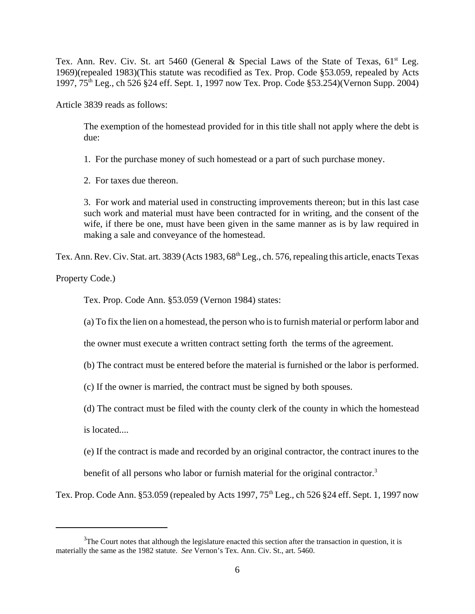Tex. Ann. Rev. Civ. St. art 5460 (General & Special Laws of the State of Texas,  $61<sup>st</sup>$  Leg. 1969)(repealed 1983)(This statute was recodified as Tex. Prop. Code §53.059, repealed by Acts 1997, 75th Leg., ch 526 §24 eff. Sept. 1, 1997 now Tex. Prop. Code §53.254)(Vernon Supp. 2004)

Article 3839 reads as follows:

The exemption of the homestead provided for in this title shall not apply where the debt is due:

1. For the purchase money of such homestead or a part of such purchase money.

2. For taxes due thereon.

3. For work and material used in constructing improvements thereon; but in this last case such work and material must have been contracted for in writing, and the consent of the wife, if there be one, must have been given in the same manner as is by law required in making a sale and conveyance of the homestead.

Tex. Ann. Rev. Civ. Stat. art. 3839 (Acts 1983, 68<sup>th</sup> Leg., ch. 576, repealing this article, enacts Texas

Property Code.)

Tex. Prop. Code Ann. §53.059 (Vernon 1984) states:

(a) To fix the lien on a homestead, the person who is to furnish material or perform labor and

the owner must execute a written contract setting forth the terms of the agreement.

(b) The contract must be entered before the material is furnished or the labor is performed.

(c) If the owner is married, the contract must be signed by both spouses.

(d) The contract must be filed with the county clerk of the county in which the homestead

is located....

(e) If the contract is made and recorded by an original contractor, the contract inures to the

benefit of all persons who labor or furnish material for the original contractor.<sup>3</sup>

Tex. Prop. Code Ann. §53.059 (repealed by Acts 1997, 75<sup>th</sup> Leg., ch 526 §24 eff. Sept. 1, 1997 now

 $3$ The Court notes that although the legislature enacted this section after the transaction in question, it is materially the same as the 1982 statute. *See* Vernon's Tex. Ann. Civ. St., art. 5460.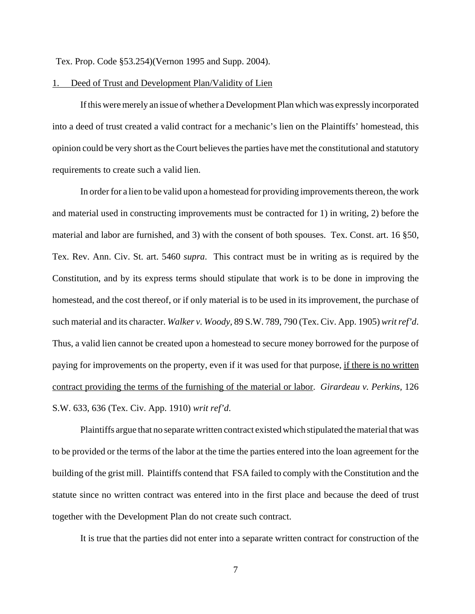Tex. Prop. Code §53.254)(Vernon 1995 and Supp. 2004).

## 1. Deed of Trust and Development Plan/Validity of Lien

If this were merely an issue of whether a Development Plan which was expressly incorporated into a deed of trust created a valid contract for a mechanic's lien on the Plaintiffs' homestead, this opinion could be very short as the Court believes the parties have met the constitutional and statutory requirements to create such a valid lien.

In order for a lien to be valid upon a homestead for providing improvements thereon, the work and material used in constructing improvements must be contracted for 1) in writing, 2) before the material and labor are furnished, and 3) with the consent of both spouses. Tex. Const. art. 16 §50, Tex. Rev. Ann. Civ. St. art. 5460 *supra*. This contract must be in writing as is required by the Constitution, and by its express terms should stipulate that work is to be done in improving the homestead, and the cost thereof, or if only material is to be used in its improvement, the purchase of such material and its character. *Walker v. Woody,* 89 S.W. 789, 790 (Tex. Civ. App. 1905) *writ ref'd*. Thus, a valid lien cannot be created upon a homestead to secure money borrowed for the purpose of paying for improvements on the property, even if it was used for that purpose, if there is no written contract providing the terms of the furnishing of the material or labor. *Girardeau v. Perkins,* 126 S.W. 633, 636 (Tex. Civ. App. 1910) *writ ref'd*.

Plaintiffs argue that no separate written contract existed which stipulated the material that was to be provided or the terms of the labor at the time the parties entered into the loan agreement for the building of the grist mill. Plaintiffs contend that FSA failed to comply with the Constitution and the statute since no written contract was entered into in the first place and because the deed of trust together with the Development Plan do not create such contract.

It is true that the parties did not enter into a separate written contract for construction of the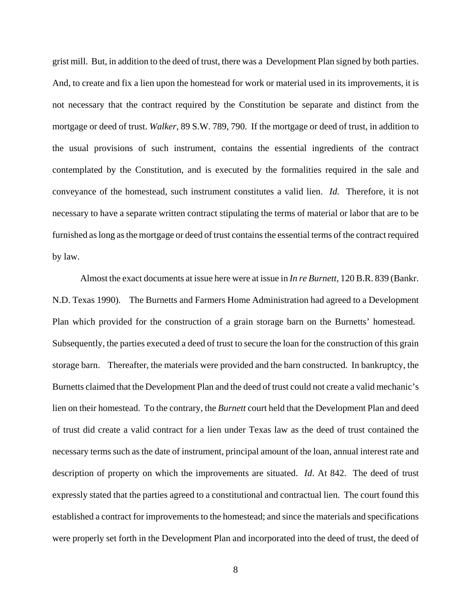grist mill. But, in addition to the deed of trust, there was a Development Plan signed by both parties. And, to create and fix a lien upon the homestead for work or material used in its improvements, it is not necessary that the contract required by the Constitution be separate and distinct from the mortgage or deed of trust. *Walker,* 89 S.W. 789, 790. If the mortgage or deed of trust, in addition to the usual provisions of such instrument, contains the essential ingredients of the contract contemplated by the Constitution, and is executed by the formalities required in the sale and conveyance of the homestead, such instrument constitutes a valid lien. *Id.* Therefore, it is not necessary to have a separate written contract stipulating the terms of material or labor that are to be furnished as long as the mortgage or deed of trust contains the essential terms of the contract required by law.

Almost the exact documents at issue here were at issue in *In re Burnett,* 120 B.R. 839 (Bankr. N.D. Texas 1990)*.* The Burnetts and Farmers Home Administration had agreed to a Development Plan which provided for the construction of a grain storage barn on the Burnetts' homestead. Subsequently, the parties executed a deed of trust to secure the loan for the construction of this grain storage barn. Thereafter, the materials were provided and the barn constructed. In bankruptcy, the Burnetts claimed that the Development Plan and the deed of trust could not create a valid mechanic's lien on their homestead. To the contrary, the *Burnett* court held that the Development Plan and deed of trust did create a valid contract for a lien under Texas law as the deed of trust contained the necessary terms such as the date of instrument, principal amount of the loan, annual interest rate and description of property on which the improvements are situated. *Id*. At 842. The deed of trust expressly stated that the parties agreed to a constitutional and contractual lien. The court found this established a contract for improvements to the homestead; and since the materials and specifications were properly set forth in the Development Plan and incorporated into the deed of trust, the deed of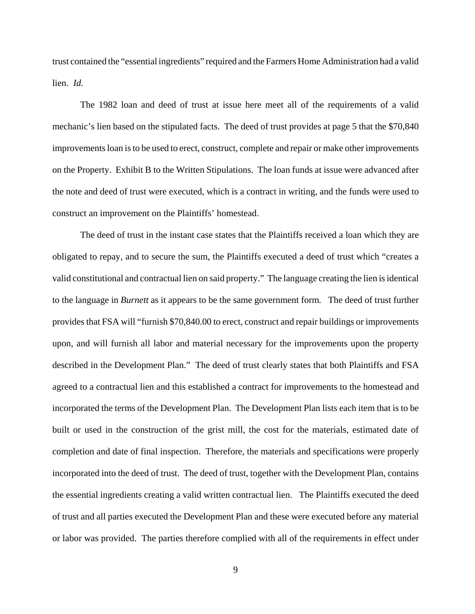trust contained the "essential ingredients" required and the Farmers Home Administration had a valid lien. *Id.*

The 1982 loan and deed of trust at issue here meet all of the requirements of a valid mechanic's lien based on the stipulated facts. The deed of trust provides at page 5 that the \$70,840 improvements loan is to be used to erect, construct, complete and repair or make other improvements on the Property. Exhibit B to the Written Stipulations. The loan funds at issue were advanced after the note and deed of trust were executed, which is a contract in writing, and the funds were used to construct an improvement on the Plaintiffs' homestead.

The deed of trust in the instant case states that the Plaintiffs received a loan which they are obligated to repay, and to secure the sum, the Plaintiffs executed a deed of trust which "creates a valid constitutional and contractual lien on said property." The language creating the lien is identical to the language in *Burnett* as it appears to be the same government form*.* The deed of trust further provides that FSA will "furnish \$70,840.00 to erect, construct and repair buildings or improvements upon, and will furnish all labor and material necessary for the improvements upon the property described in the Development Plan." The deed of trust clearly states that both Plaintiffs and FSA agreed to a contractual lien and this established a contract for improvements to the homestead and incorporated the terms of the Development Plan. The Development Plan lists each item that is to be built or used in the construction of the grist mill, the cost for the materials, estimated date of completion and date of final inspection. Therefore, the materials and specifications were properly incorporated into the deed of trust. The deed of trust, together with the Development Plan, contains the essential ingredients creating a valid written contractual lien. The Plaintiffs executed the deed of trust and all parties executed the Development Plan and these were executed before any material or labor was provided. The parties therefore complied with all of the requirements in effect under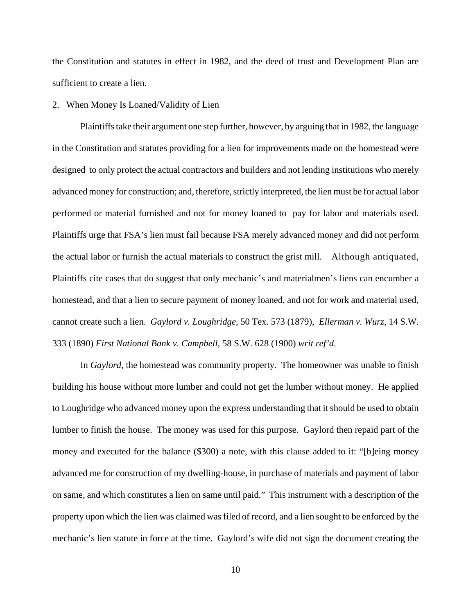the Constitution and statutes in effect in 1982, and the deed of trust and Development Plan are sufficient to create a lien.

## 2. When Money Is Loaned/Validity of Lien

Plaintiffs take their argument one step further, however, by arguing that in 1982, the language in the Constitution and statutes providing for a lien for improvements made on the homestead were designed to only protect the actual contractors and builders and not lending institutions who merely advanced money for construction; and, therefore, strictly interpreted, the lien must be for actual labor performed or material furnished and not for money loaned to pay for labor and materials used. Plaintiffs urge that FSA's lien must fail because FSA merely advanced money and did not perform the actual labor or furnish the actual materials to construct the grist mill. Although antiquated, Plaintiffs cite cases that do suggest that only mechanic's and materialmen's liens can encumber a homestead, and that a lien to secure payment of money loaned, and not for work and material used, cannot create such a lien. *Gaylord v. Loughridge,* 50 Tex. 573 (1879), *Ellerman v. Wurz,* 14 S.W. 333 (1890) *First National Bank v. Campbell,* 58 S.W. 628 (1900) *writ ref'd*.

In *Gaylord,* the homestead was community property. The homeowner was unable to finish building his house without more lumber and could not get the lumber without money. He applied to Loughridge who advanced money upon the express understanding that it should be used to obtain lumber to finish the house. The money was used for this purpose. Gaylord then repaid part of the money and executed for the balance (\$300) a note, with this clause added to it: "[b]eing money advanced me for construction of my dwelling-house, in purchase of materials and payment of labor on same, and which constitutes a lien on same until paid." This instrument with a description of the property upon which the lien was claimed was filed of record, and a lien sought to be enforced by the mechanic's lien statute in force at the time. Gaylord's wife did not sign the document creating the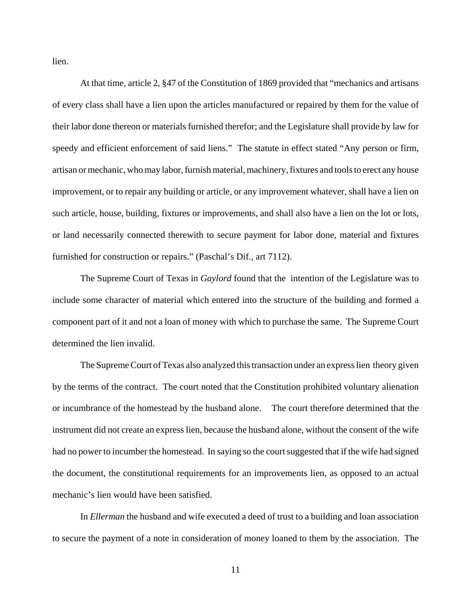lien.

At that time, article 2, §47 of the Constitution of 1869 provided that "mechanics and artisans of every class shall have a lien upon the articles manufactured or repaired by them for the value of their labor done thereon or materials furnished therefor; and the Legislature shall provide by law for speedy and efficient enforcement of said liens." The statute in effect stated "Any person or firm, artisan or mechanic, who may labor, furnish material, machinery, fixtures and tools to erect any house improvement, or to repair any building or article, or any improvement whatever, shall have a lien on such article, house, building, fixtures or improvements, and shall also have a lien on the lot or lots, or land necessarily connected therewith to secure payment for labor done, material and fixtures furnished for construction or repairs." (Paschal's Dif., art 7112).

The Supreme Court of Texas in *Gaylord* found that the intention of the Legislature was to include some character of material which entered into the structure of the building and formed a component part of it and not a loan of money with which to purchase the same. The Supreme Court determined the lien invalid.

The Supreme Court of Texas also analyzed this transaction under an express lien theory given by the terms of the contract. The court noted that the Constitution prohibited voluntary alienation or incumbrance of the homestead by the husband alone. The court therefore determined that the instrument did not create an express lien, because the husband alone, without the consent of the wife had no power to incumber the homestead. In saying so the court suggested that if the wife had signed the document, the constitutional requirements for an improvements lien, as opposed to an actual mechanic's lien would have been satisfied.

In *Ellerman* the husband and wife executed a deed of trust to a building and loan association to secure the payment of a note in consideration of money loaned to them by the association. The

11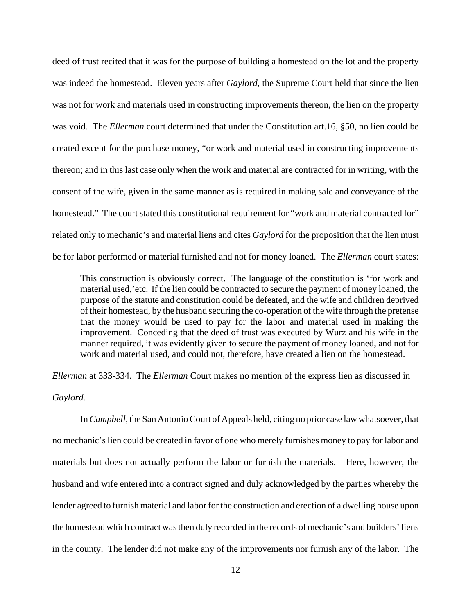deed of trust recited that it was for the purpose of building a homestead on the lot and the property was indeed the homestead. Eleven years after *Gaylord,* the Supreme Court held that since the lien was not for work and materials used in constructing improvements thereon, the lien on the property was void. The *Ellerman* court determined that under the Constitution art.16, §50, no lien could be created except for the purchase money, "or work and material used in constructing improvements thereon; and in this last case only when the work and material are contracted for in writing, with the consent of the wife, given in the same manner as is required in making sale and conveyance of the homestead." The court stated this constitutional requirement for "work and material contracted for" related only to mechanic's and material liens and cites *Gaylord* for the proposition that the lien must be for labor performed or material furnished and not for money loaned. The *Ellerman* court states:

This construction is obviously correct. The language of the constitution is 'for work and material used,'etc. If the lien could be contracted to secure the payment of money loaned, the purpose of the statute and constitution could be defeated, and the wife and children deprived of their homestead, by the husband securing the co-operation of the wife through the pretense that the money would be used to pay for the labor and material used in making the improvement. Conceding that the deed of trust was executed by Wurz and his wife in the manner required, it was evidently given to secure the payment of money loaned, and not for work and material used, and could not, therefore, have created a lien on the homestead.

*Ellerman* at 333-334. The *Ellerman* Court makes no mention of the express lien as discussed in *Gaylord.* 

In *Campbell,* the San Antonio Court of Appeals held, citing no prior case law whatsoever, that no mechanic's lien could be created in favor of one who merely furnishes money to pay for labor and materials but does not actually perform the labor or furnish the materials. Here, however, the husband and wife entered into a contract signed and duly acknowledged by the parties whereby the lender agreed to furnish material and labor for the construction and erection of a dwelling house upon the homestead which contract was then duly recorded in the records of mechanic's and builders' liens in the county. The lender did not make any of the improvements nor furnish any of the labor. The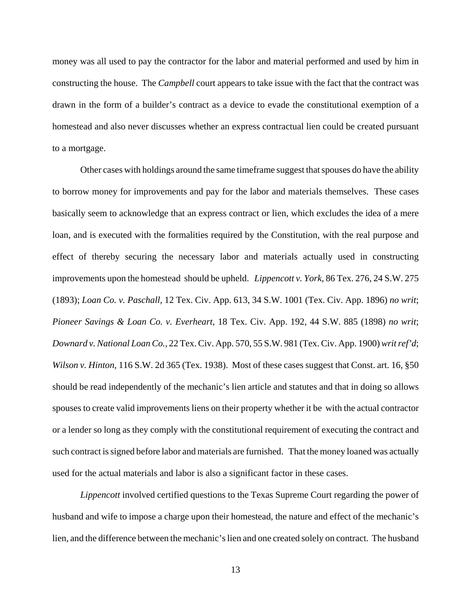money was all used to pay the contractor for the labor and material performed and used by him in constructing the house. The *Campbell* court appears to take issue with the fact that the contract was drawn in the form of a builder's contract as a device to evade the constitutional exemption of a homestead and also never discusses whether an express contractual lien could be created pursuant to a mortgage.

Other cases with holdings around the same timeframe suggest that spouses do have the ability to borrow money for improvements and pay for the labor and materials themselves. These cases basically seem to acknowledge that an express contract or lien, which excludes the idea of a mere loan, and is executed with the formalities required by the Constitution, with the real purpose and effect of thereby securing the necessary labor and materials actually used in constructing improvements upon the homestead should be upheld. *Lippencott v. York,* 86 Tex. 276, 24 S.W. 275 (1893); *Loan Co. v. Paschall,* 12 Tex. Civ. App. 613, 34 S.W. 1001 (Tex. Civ. App. 1896) *no writ*; *Pioneer Savings & Loan Co. v. Everheart*, 18 Tex. Civ. App. 192, 44 S.W. 885 (1898) *no writ*; *Downard v. National Loan Co.,* 22 Tex. Civ. App. 570, 55 S.W. 981 (Tex. Civ. App. 1900) *writ ref'd*; *Wilson v. Hinton,* 116 S.W. 2d 365 (Tex. 1938). Most of these cases suggest that Const. art. 16, §50 should be read independently of the mechanic's lien article and statutes and that in doing so allows spouses to create valid improvements liens on their property whether it be with the actual contractor or a lender so long as they comply with the constitutional requirement of executing the contract and such contract is signed before labor and materials are furnished. That the money loaned was actually used for the actual materials and labor is also a significant factor in these cases.

*Lippencott* involved certified questions to the Texas Supreme Court regarding the power of husband and wife to impose a charge upon their homestead, the nature and effect of the mechanic's lien, and the difference between the mechanic's lien and one created solely on contract. The husband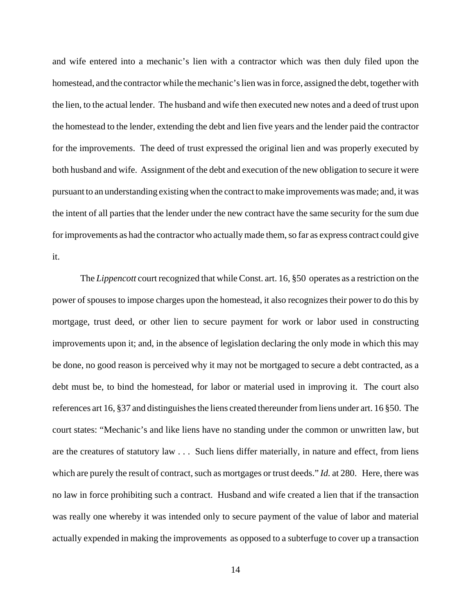and wife entered into a mechanic's lien with a contractor which was then duly filed upon the homestead, and the contractor while the mechanic's lien was in force, assigned the debt, together with the lien, to the actual lender. The husband and wife then executed new notes and a deed of trust upon the homestead to the lender, extending the debt and lien five years and the lender paid the contractor for the improvements. The deed of trust expressed the original lien and was properly executed by both husband and wife. Assignment of the debt and execution of the new obligation to secure it were pursuant to an understanding existing when the contract to make improvements was made; and, it was the intent of all parties that the lender under the new contract have the same security for the sum due for improvements as had the contractor who actually made them, so far as express contract could give it.

The *Lippencott* court recognized that while Const. art. 16, §50 operates as a restriction on the power of spouses to impose charges upon the homestead, it also recognizes their power to do this by mortgage, trust deed, or other lien to secure payment for work or labor used in constructing improvements upon it; and, in the absence of legislation declaring the only mode in which this may be done, no good reason is perceived why it may not be mortgaged to secure a debt contracted, as a debt must be, to bind the homestead, for labor or material used in improving it. The court also references art 16, §37 and distinguishes the liens created thereunder from liens under art. 16 §50. The court states: "Mechanic's and like liens have no standing under the common or unwritten law, but are the creatures of statutory law . . . Such liens differ materially, in nature and effect, from liens which are purely the result of contract, such as mortgages or trust deeds." *Id.* at 280. Here, there was no law in force prohibiting such a contract. Husband and wife created a lien that if the transaction was really one whereby it was intended only to secure payment of the value of labor and material actually expended in making the improvements as opposed to a subterfuge to cover up a transaction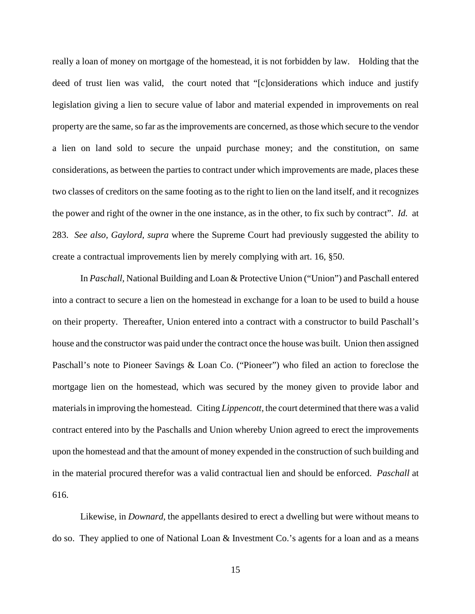really a loan of money on mortgage of the homestead, it is not forbidden by law. Holding that the deed of trust lien was valid, the court noted that "[c]onsiderations which induce and justify legislation giving a lien to secure value of labor and material expended in improvements on real property are the same, so far as the improvements are concerned, as those which secure to the vendor a lien on land sold to secure the unpaid purchase money; and the constitution, on same considerations, as between the parties to contract under which improvements are made, places these two classes of creditors on the same footing as to the right to lien on the land itself, and it recognizes the power and right of the owner in the one instance, as in the other, to fix such by contract". *Id.* at 283. *See also, Gaylord, supra* where the Supreme Court had previously suggested the ability to create a contractual improvements lien by merely complying with art. 16, §50.

In *Paschall*, National Building and Loan & Protective Union ("Union") and Paschall entered into a contract to secure a lien on the homestead in exchange for a loan to be used to build a house on their property. Thereafter, Union entered into a contract with a constructor to build Paschall's house and the constructor was paid under the contract once the house was built. Union then assigned Paschall's note to Pioneer Savings & Loan Co. ("Pioneer") who filed an action to foreclose the mortgage lien on the homestead, which was secured by the money given to provide labor and materials in improving the homestead. Citing *Lippencott,* the court determined that there was a valid contract entered into by the Paschalls and Union whereby Union agreed to erect the improvements upon the homestead and that the amount of money expended in the construction of such building and in the material procured therefor was a valid contractual lien and should be enforced. *Paschall* at 616.

Likewise, in *Downard*, the appellants desired to erect a dwelling but were without means to do so. They applied to one of National Loan & Investment Co.'s agents for a loan and as a means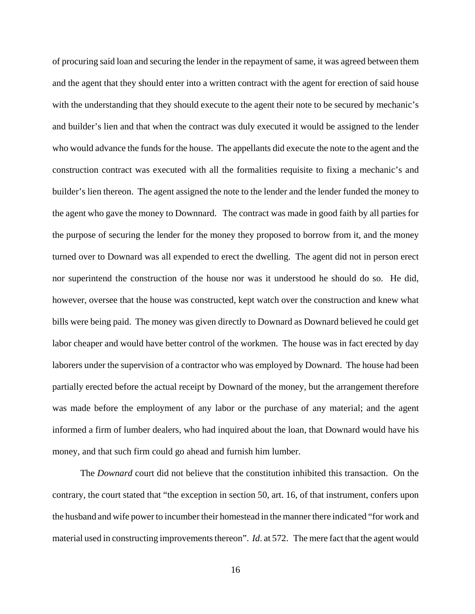of procuring said loan and securing the lender in the repayment of same, it was agreed between them and the agent that they should enter into a written contract with the agent for erection of said house with the understanding that they should execute to the agent their note to be secured by mechanic's and builder's lien and that when the contract was duly executed it would be assigned to the lender who would advance the funds for the house. The appellants did execute the note to the agent and the construction contract was executed with all the formalities requisite to fixing a mechanic's and builder's lien thereon. The agent assigned the note to the lender and the lender funded the money to the agent who gave the money to Downnard. The contract was made in good faith by all parties for the purpose of securing the lender for the money they proposed to borrow from it, and the money turned over to Downard was all expended to erect the dwelling. The agent did not in person erect nor superintend the construction of the house nor was it understood he should do so. He did, however, oversee that the house was constructed, kept watch over the construction and knew what bills were being paid. The money was given directly to Downard as Downard believed he could get labor cheaper and would have better control of the workmen. The house was in fact erected by day laborers under the supervision of a contractor who was employed by Downard. The house had been partially erected before the actual receipt by Downard of the money, but the arrangement therefore was made before the employment of any labor or the purchase of any material; and the agent informed a firm of lumber dealers, who had inquired about the loan, that Downard would have his money, and that such firm could go ahead and furnish him lumber.

The *Downard* court did not believe that the constitution inhibited this transaction. On the contrary, the court stated that "the exception in section 50, art. 16, of that instrument, confers upon the husband and wife power to incumber their homestead in the manner there indicated "for work and material used in constructing improvements thereon". *Id*. at 572. The mere fact that the agent would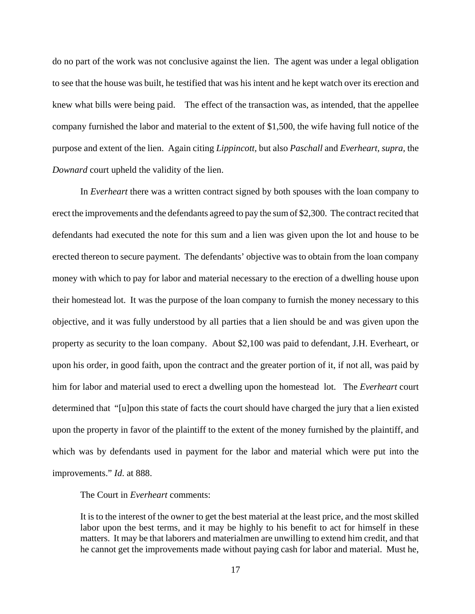do no part of the work was not conclusive against the lien. The agent was under a legal obligation to see that the house was built, he testified that was his intent and he kept watch over its erection and knew what bills were being paid. The effect of the transaction was, as intended, that the appellee company furnished the labor and material to the extent of \$1,500, the wife having full notice of the purpose and extent of the lien. Again citing *Lippincott,* but also *Paschall* and *Everheart, supra,* the *Downard* court upheld the validity of the lien.

In *Everheart* there was a written contract signed by both spouses with the loan company to erect the improvements and the defendants agreed to pay the sum of \$2,300. The contract recited that defendants had executed the note for this sum and a lien was given upon the lot and house to be erected thereon to secure payment. The defendants' objective was to obtain from the loan company money with which to pay for labor and material necessary to the erection of a dwelling house upon their homestead lot. It was the purpose of the loan company to furnish the money necessary to this objective, and it was fully understood by all parties that a lien should be and was given upon the property as security to the loan company. About \$2,100 was paid to defendant, J.H. Everheart, or upon his order, in good faith, upon the contract and the greater portion of it, if not all, was paid by him for labor and material used to erect a dwelling upon the homestead lot. The *Everheart* court determined that "[u]pon this state of facts the court should have charged the jury that a lien existed upon the property in favor of the plaintiff to the extent of the money furnished by the plaintiff, and which was by defendants used in payment for the labor and material which were put into the improvements." *Id*. at 888.

The Court in *Everheart* comments:

It is to the interest of the owner to get the best material at the least price, and the most skilled labor upon the best terms, and it may be highly to his benefit to act for himself in these matters. It may be that laborers and materialmen are unwilling to extend him credit, and that he cannot get the improvements made without paying cash for labor and material. Must he,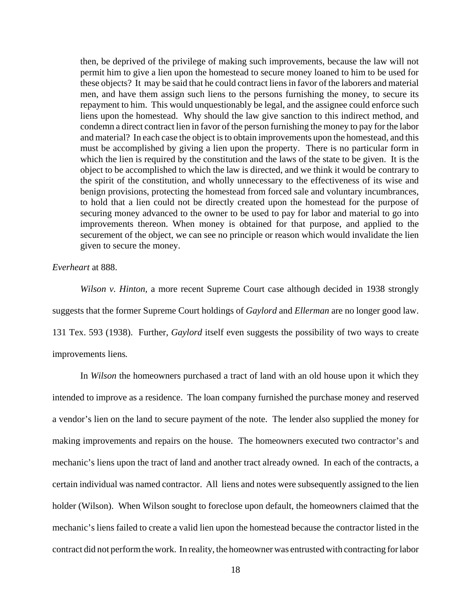then, be deprived of the privilege of making such improvements, because the law will not permit him to give a lien upon the homestead to secure money loaned to him to be used for these objects? It may be said that he could contract liens in favor of the laborers and material men, and have them assign such liens to the persons furnishing the money, to secure its repayment to him. This would unquestionably be legal, and the assignee could enforce such liens upon the homestead. Why should the law give sanction to this indirect method, and condemn a direct contract lien in favor of the person furnishing the money to pay for the labor and material? In each case the object is to obtain improvements upon the homestead, and this must be accomplished by giving a lien upon the property. There is no particular form in which the lien is required by the constitution and the laws of the state to be given. It is the object to be accomplished to which the law is directed, and we think it would be contrary to the spirit of the constitution, and wholly unnecessary to the effectiveness of its wise and benign provisions, protecting the homestead from forced sale and voluntary incumbrances, to hold that a lien could not be directly created upon the homestead for the purpose of securing money advanced to the owner to be used to pay for labor and material to go into improvements thereon. When money is obtained for that purpose, and applied to the securement of the object, we can see no principle or reason which would invalidate the lien given to secure the money.

*Everheart* at 888.

*Wilson v. Hinton,* a more recent Supreme Court case although decided in 1938 strongly suggests that the former Supreme Court holdings of *Gaylord* and *Ellerman* are no longer good law. 131 Tex. 593 (1938). Further, *Gaylord* itself even suggests the possibility of two ways to create improvements liens*.*

In *Wilson* the homeowners purchased a tract of land with an old house upon it which they intended to improve as a residence. The loan company furnished the purchase money and reserved a vendor's lien on the land to secure payment of the note. The lender also supplied the money for making improvements and repairs on the house. The homeowners executed two contractor's and mechanic's liens upon the tract of land and another tract already owned. In each of the contracts, a certain individual was named contractor. All liens and notes were subsequently assigned to the lien holder (Wilson). When Wilson sought to foreclose upon default, the homeowners claimed that the mechanic's liens failed to create a valid lien upon the homestead because the contractor listed in the contract did not perform the work. In reality, the homeowner was entrusted with contracting for labor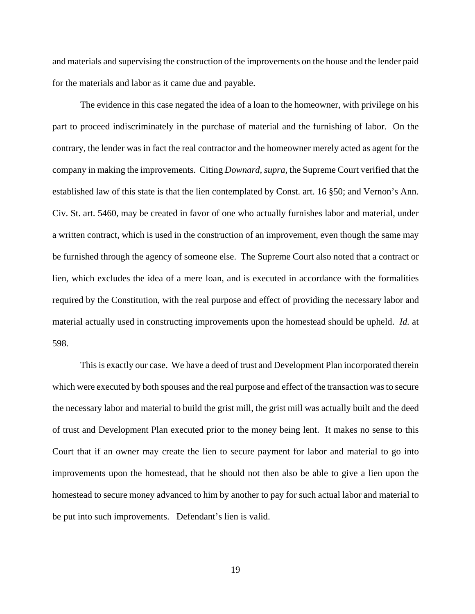and materials and supervising the construction of the improvements on the house and the lender paid for the materials and labor as it came due and payable.

The evidence in this case negated the idea of a loan to the homeowner, with privilege on his part to proceed indiscriminately in the purchase of material and the furnishing of labor. On the contrary, the lender was in fact the real contractor and the homeowner merely acted as agent for the company in making the improvements. Citing *Downard, supra,* the Supreme Court verified that the established law of this state is that the lien contemplated by Const. art. 16 §50; and Vernon's Ann. Civ. St. art. 5460, may be created in favor of one who actually furnishes labor and material, under a written contract, which is used in the construction of an improvement, even though the same may be furnished through the agency of someone else. The Supreme Court also noted that a contract or lien, which excludes the idea of a mere loan, and is executed in accordance with the formalities required by the Constitution, with the real purpose and effect of providing the necessary labor and material actually used in constructing improvements upon the homestead should be upheld. *Id.* at 598.

This is exactly our case. We have a deed of trust and Development Plan incorporated therein which were executed by both spouses and the real purpose and effect of the transaction was to secure the necessary labor and material to build the grist mill, the grist mill was actually built and the deed of trust and Development Plan executed prior to the money being lent. It makes no sense to this Court that if an owner may create the lien to secure payment for labor and material to go into improvements upon the homestead, that he should not then also be able to give a lien upon the homestead to secure money advanced to him by another to pay for such actual labor and material to be put into such improvements. Defendant's lien is valid.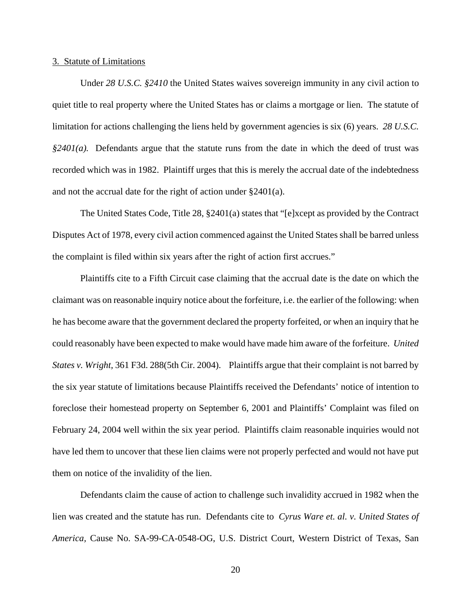## 3. Statute of Limitations

Under *28 U.S.C. §2410* the United States waives sovereign immunity in any civil action to quiet title to real property where the United States has or claims a mortgage or lien. The statute of limitation for actions challenging the liens held by government agencies is six (6) years. *28 U.S.C. §2401(a).* Defendants argue that the statute runs from the date in which the deed of trust was recorded which was in 1982. Plaintiff urges that this is merely the accrual date of the indebtedness and not the accrual date for the right of action under §2401(a).

The United States Code, Title 28, §2401(a) states that "[e]xcept as provided by the Contract Disputes Act of 1978, every civil action commenced against the United States shall be barred unless the complaint is filed within six years after the right of action first accrues."

Plaintiffs cite to a Fifth Circuit case claiming that the accrual date is the date on which the claimant was on reasonable inquiry notice about the forfeiture, i.e. the earlier of the following: when he has become aware that the government declared the property forfeited, or when an inquiry that he could reasonably have been expected to make would have made him aware of the forfeiture. *United States v. Wright,* 361 F3d. 288(5th Cir. 2004). Plaintiffs argue that their complaint is not barred by the six year statute of limitations because Plaintiffs received the Defendants' notice of intention to foreclose their homestead property on September 6, 2001 and Plaintiffs' Complaint was filed on February 24, 2004 well within the six year period. Plaintiffs claim reasonable inquiries would not have led them to uncover that these lien claims were not properly perfected and would not have put them on notice of the invalidity of the lien.

Defendants claim the cause of action to challenge such invalidity accrued in 1982 when the lien was created and the statute has run. Defendants cite to *Cyrus Ware et. al. v. United States of America,* Cause No. SA-99-CA-0548-OG, U.S. District Court, Western District of Texas, San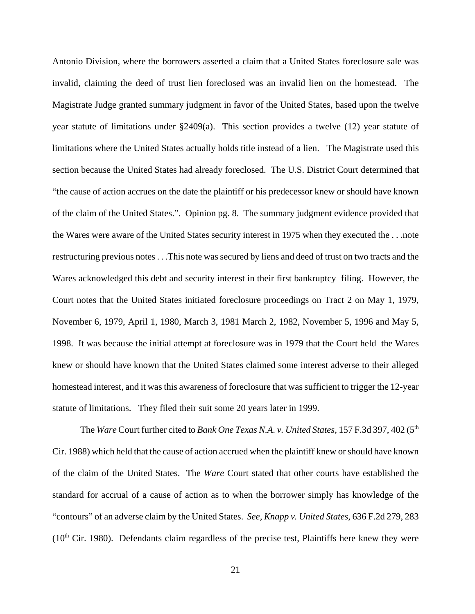Antonio Division, where the borrowers asserted a claim that a United States foreclosure sale was invalid, claiming the deed of trust lien foreclosed was an invalid lien on the homestead. The Magistrate Judge granted summary judgment in favor of the United States, based upon the twelve year statute of limitations under §2409(a). This section provides a twelve (12) year statute of limitations where the United States actually holds title instead of a lien. The Magistrate used this section because the United States had already foreclosed. The U.S. District Court determined that "the cause of action accrues on the date the plaintiff or his predecessor knew or should have known of the claim of the United States.". Opinion pg. 8. The summary judgment evidence provided that the Wares were aware of the United States security interest in 1975 when they executed the . . .note restructuring previous notes . . .This note was secured by liens and deed of trust on two tracts and the Wares acknowledged this debt and security interest in their first bankruptcy filing. However, the Court notes that the United States initiated foreclosure proceedings on Tract 2 on May 1, 1979, November 6, 1979, April 1, 1980, March 3, 1981 March 2, 1982, November 5, 1996 and May 5, 1998. It was because the initial attempt at foreclosure was in 1979 that the Court held the Wares knew or should have known that the United States claimed some interest adverse to their alleged homestead interest, and it was this awareness of foreclosure that was sufficient to trigger the 12-year statute of limitations. They filed their suit some 20 years later in 1999.

The *Ware* Court further cited to *Bank One Texas N.A. v. United States*, 157 F.3d 397, 402 (5<sup>th</sup> Cir. 1988) which held that the cause of action accrued when the plaintiff knew or should have known of the claim of the United States. The *Ware* Court stated that other courts have established the standard for accrual of a cause of action as to when the borrower simply has knowledge of the "contours" of an adverse claim by the United States. *See, Knapp v. United States*, 636 F.2d 279, 283  $(10<sup>th</sup>$  Cir. 1980). Defendants claim regardless of the precise test, Plaintiffs here knew they were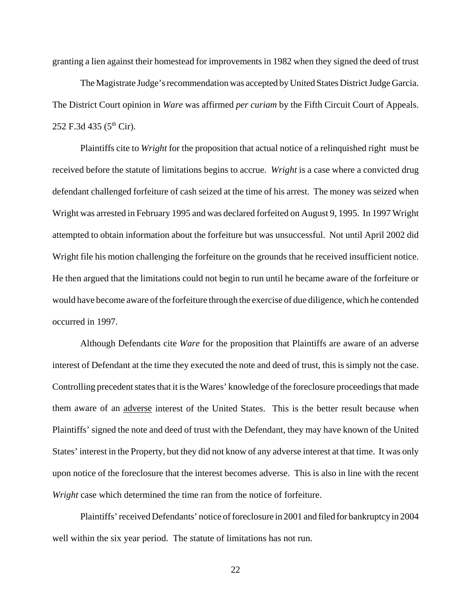granting a lien against their homestead for improvements in 1982 when they signed the deed of trust

The Magistrate Judge's recommendation was accepted by United States District Judge Garcia. The District Court opinion in *Ware* was affirmed *per curiam* by the Fifth Circuit Court of Appeals. 252 F.3d 435 ( $5^{\text{th}}$  Cir).

Plaintiffs cite to *Wright* for the proposition that actual notice of a relinquished right must be received before the statute of limitations begins to accrue. *Wright* is a case where a convicted drug defendant challenged forfeiture of cash seized at the time of his arrest. The money was seized when Wright was arrested in February 1995 and was declared forfeited on August 9, 1995. In 1997 Wright attempted to obtain information about the forfeiture but was unsuccessful. Not until April 2002 did Wright file his motion challenging the forfeiture on the grounds that he received insufficient notice. He then argued that the limitations could not begin to run until he became aware of the forfeiture or would have become aware of the forfeiture through the exercise of due diligence, which he contended occurred in 1997.

Although Defendants cite *Ware* for the proposition that Plaintiffs are aware of an adverse interest of Defendant at the time they executed the note and deed of trust, this is simply not the case. Controlling precedent states that it is the Wares' knowledge of the foreclosure proceedings that made them aware of an adverse interest of the United States. This is the better result because when Plaintiffs' signed the note and deed of trust with the Defendant, they may have known of the United States' interest in the Property, but they did not know of any adverse interest at that time. It was only upon notice of the foreclosure that the interest becomes adverse. This is also in line with the recent *Wright* case which determined the time ran from the notice of forfeiture.

Plaintiffs' received Defendants' notice of foreclosure in 2001 and filed for bankruptcy in 2004 well within the six year period. The statute of limitations has not run.